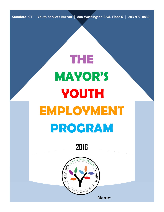**Stamford, CT** | **Youth Services Bureau** | **888 Washington Blvd. Floor 6** | **203-977-0830**

# **THE MAYOR'S YOUTH EMPLOYMENT PROGRAM**

**2016**



**Name:**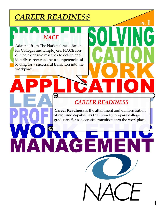# *CAREER READINESS*

### *NACE*

Adapted from The National Association for Colleges and Employers; NACE conducted extensive research to define and identify career readiness competencies allowing for a successful transition into the workplace.

### *CAREER READINESS*

**Career Readiness** is the attainment and demonstration of required capabilities that broadly prepare college graduates for a successful transition into the workplace.

GI

**Pt.**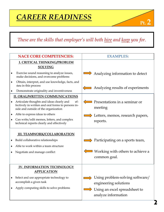### *These are the skills that employer's will both hire and keep you for.*

| <b>NACE CORE COMPETENCIES:</b>         |                                                                                                                                                | <b>EXAMPLES:</b>                                     |  |
|----------------------------------------|------------------------------------------------------------------------------------------------------------------------------------------------|------------------------------------------------------|--|
|                                        | I. CRITICAL THINKING/PROBLEM<br><b>SOLVING</b>                                                                                                 |                                                      |  |
| ٠                                      | Exercise sound reasoning to analyze issues,<br>make decisions, and overcome problems                                                           | Analyzing information to detect                      |  |
| ٠                                      | Obtain, interpret, and use knowledge, facts, and<br>data in this process                                                                       | Analyzing results of experiments                     |  |
|                                        | Demonstrate originality and inventiveness                                                                                                      |                                                      |  |
| <b>II. ORAL/WRITTEN COMMUNICATIONS</b> |                                                                                                                                                |                                                      |  |
|                                        | Articulate thoughts and ideas clearly and<br>ef-<br>fectively in written and oral forms to persons in-<br>side and outside of the organization | Presentations in a seminar or<br>meeting             |  |
| ٠                                      | Able to express ideas to others                                                                                                                | Letters, memos, research papers,                     |  |
|                                        | Can write/edit memos, letters, and complex<br>technical reports clearly and effectively                                                        | reports.                                             |  |
|                                        | <b>III. TEAMWORK/COLLABORATION</b>                                                                                                             |                                                      |  |
| ٠                                      | Build collaborative relationships                                                                                                              | Participating on a sports team,                      |  |
|                                        | Able to work within a team structure                                                                                                           |                                                      |  |
|                                        | Negotiate and manage conflict                                                                                                                  | Working with others to achieve a<br>common goal.     |  |
|                                        | <b>IV. INFORMATION TECHNOLOGY</b>                                                                                                              |                                                      |  |
|                                        | <b>APPLICATION</b>                                                                                                                             |                                                      |  |
|                                        | Select and use appropriate technology to                                                                                                       | Using problem-solving software/                      |  |
|                                        | accomplish a given task                                                                                                                        | engineering solutions                                |  |
|                                        | Apply computing skills to solve problems                                                                                                       | Using an excel spreadsheet to<br>analyze information |  |

**Pt. 2**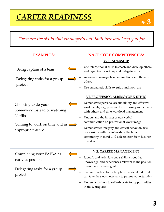

### *These are the skills that employer's will both hire and keep you for.*

| <b>EXAMPLES:</b>                                                                                                      | <b>NACE CORE COMPETENCIES:</b>                                                                                                                                                                                                                                                                                                                                                                                                                             |  |
|-----------------------------------------------------------------------------------------------------------------------|------------------------------------------------------------------------------------------------------------------------------------------------------------------------------------------------------------------------------------------------------------------------------------------------------------------------------------------------------------------------------------------------------------------------------------------------------------|--|
| Being captain of a team<br>Delegating tasks for a group<br>project                                                    | <b>V. LEADERSHIP</b><br>Use interpersonal skills to coach and develop others<br>and organize, prioritize, and delegate work<br>Assess and manage his/her emotions and those of<br>others<br>Use empathetic skills to guide and motivate<br>٠                                                                                                                                                                                                               |  |
| Choosing to do your<br>homework instead of watching<br>Netflix<br>Coming to work on time and in<br>appropriate attire | VI. PROFFESIONALISM/WORK ETHIC<br>Demonstrate personal accountability and effective<br>work habits, e.g., punctuality, working productively<br>with others, and time workload management<br>Understand the impact of non-verbal<br>٠<br>communication on professional work image<br>Demonstrates integrity and ethical behavior, acts<br>٠<br>responsibly with the interests of the larger<br>community in mind and able to learn from his/her<br>mistakes |  |
| Completing your FAFSA as<br>early as possible<br>Delegating tasks for a group<br>project                              | VII. CAREER MANAGEMENT<br>Identify and articulate one's skills, strengths,<br>٠<br>knowledge, and experiences relevant to the position<br>desired and career goal<br>navigate and explore job options, understands and<br>can take the steps necessary to pursue opportunities<br>Understands how to self-advocate for opportunities<br>٠<br>in the workplace                                                                                              |  |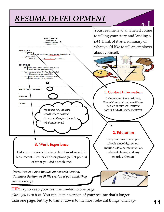# *RESUME DEVELOPMENT*



*when you turn it in*. You can keep a version of your resume that's longer than one page, but try to trim it down to the most relevant things when ap-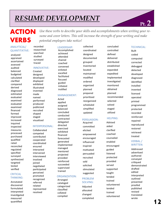# *RESUME DEVELOPMENT*

# **ACTION VERBS**

*Use these verbs to describe your skills and accomplishments when writing your resume and cover letters. This will increase the strength of your writing and make potential employers take notice!*

collected

#### ANALYTICAL/ QUANTITATIVE:

analyzed appraised ascertained assessed audited balanced budgeted calculated clarified compared derived diagnosed estimated evaluated examined evaluated examined financed formed improved increased inquired inspected measures processed purchased qualified rated reconciled regulated specified surveyed synthesized targeted tested verified

#### **CRITICAL** THINKING:

Annotated discovered formulated interpreted investigated measured quantified

recorded researched searched studied surveyed traced

#### INNOVATIVE:

Created designed developed displayed exhibited illustrated invented made named performed produced publicized recruited shaped staged visualized

#### INTERPERSONAL:

Collaborated competed contributed cooperated coordinated ensured interacted intervened interviewed involved joined negotiated participated perceived promoted recognized referred related represented resolved

LEADERSHIP: Accomplished achieved attended chaired coached convened enlisted excelled facilitated focused guided initiated instilled

#### MANAGEMENT:

Acted applied assigned balanced concluded conducted contracted delegated directed exercised exhibited financed forecasted generated implemented managed mentored projected provided reinforced succeeded supervised trained

#### ORGANIZATION:

Arranged cataloged categorized classified collated compiled

coordinated designed documented grouped Inventoried located maintained modified ordered organized planned prepared prioritized reorganized scheduled simplified updated

#### PERSUASION:

Acquired committed elicited empowered encouraged influenced inspired motivated persuaded recruited sold solicited stimulated suggested PROBLEM

### SOLVING:

Adjusted allocated changed completed concluded controlled defined delivered distributed established expanded expedited Implemented investigated monitored obtained planned recommended selected solved staged utilized

#### HELPING:

Advised aided clarified coached counseled enabled encouraged guided listened protected provided served supported taught tended trained volunteered tended trained volunteered

#### TECHINICAL:

**Pt. 2**

Built coded computed corrected debugged detected developed diagnosed identified installed invented licensed operated printed programmed protected recorded reinforced repaired reproduced restored retrieved treated

#### VERBAL./ WRITTEN:

Addressed advertised authored conveyed critiqued demonstrated drafted edited interpreted outlined presented proofed published revised translated wrote

**12**